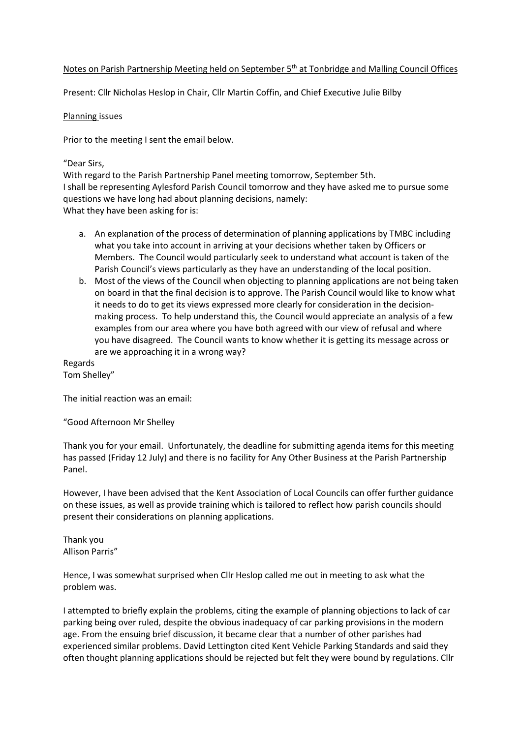## Notes on Parish Partnership Meeting held on September 5<sup>th</sup> at Tonbridge and Malling Council Offices

Present: Cllr Nicholas Heslop in Chair, Cllr Martin Coffin, and Chief Executive Julie Bilby

## Planning issues

Prior to the meeting I sent the email below.

## "Dear Sirs,

With regard to the Parish Partnership Panel meeting tomorrow, September 5th. I shall be representing Aylesford Parish Council tomorrow and they have asked me to pursue some questions we have long had about planning decisions, namely: What they have been asking for is:

- a. An explanation of the process of determination of planning applications by TMBC including what you take into account in arriving at your decisions whether taken by Officers or Members. The Council would particularly seek to understand what account is taken of the Parish Council's views particularly as they have an understanding of the local position.
- b. Most of the views of the Council when objecting to planning applications are not being taken on board in that the final decision is to approve. The Parish Council would like to know what it needs to do to get its views expressed more clearly for consideration in the decisionmaking process. To help understand this, the Council would appreciate an analysis of a few examples from our area where you have both agreed with our view of refusal and where you have disagreed. The Council wants to know whether it is getting its message across or are we approaching it in a wrong way?

Regards Tom Shelley"

The initial reaction was an email:

"Good Afternoon Mr Shelley

Thank you for your email. Unfortunately, the deadline for submitting agenda items for this meeting has passed (Friday 12 July) and there is no facility for Any Other Business at the Parish Partnership Panel.

However, I have been advised that the Kent Association of Local Councils can offer further guidance on these issues, as well as provide training which is tailored to reflect how parish councils should present their considerations on planning applications.

Thank you Allison Parris"

Hence, I was somewhat surprised when Cllr Heslop called me out in meeting to ask what the problem was.

I attempted to briefly explain the problems, citing the example of planning objections to lack of car parking being over ruled, despite the obvious inadequacy of car parking provisions in the modern age. From the ensuing brief discussion, it became clear that a number of other parishes had experienced similar problems. David Lettington cited Kent Vehicle Parking Standards and said they often thought planning applications should be rejected but felt they were bound by regulations. Cllr